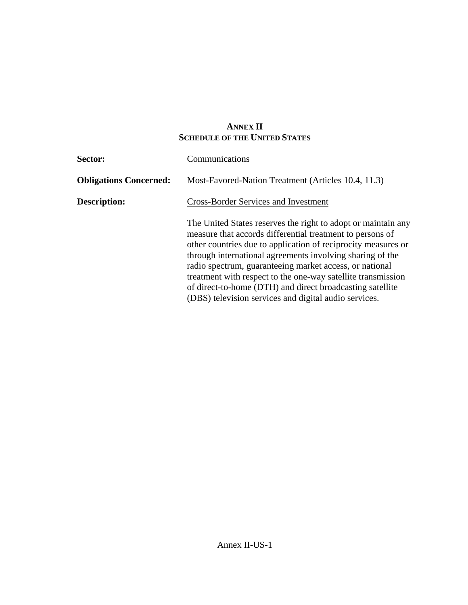## **ANNEX II SCHEDULE OF THE UNITED STATES**

| Sector:                       | Communications                                                                                                                                                                                                                                                                                                                                                                                                                                                                                            |  |  |  |
|-------------------------------|-----------------------------------------------------------------------------------------------------------------------------------------------------------------------------------------------------------------------------------------------------------------------------------------------------------------------------------------------------------------------------------------------------------------------------------------------------------------------------------------------------------|--|--|--|
| <b>Obligations Concerned:</b> | Most-Favored-Nation Treatment (Articles 10.4, 11.3)                                                                                                                                                                                                                                                                                                                                                                                                                                                       |  |  |  |
| Description:                  | <b>Cross-Border Services and Investment</b>                                                                                                                                                                                                                                                                                                                                                                                                                                                               |  |  |  |
|                               | The United States reserves the right to adopt or maintain any<br>measure that accords differential treatment to persons of<br>other countries due to application of reciprocity measures or<br>through international agreements involving sharing of the<br>radio spectrum, guaranteeing market access, or national<br>treatment with respect to the one-way satellite transmission<br>of direct-to-home (DTH) and direct broadcasting satellite<br>(DBS) television services and digital audio services. |  |  |  |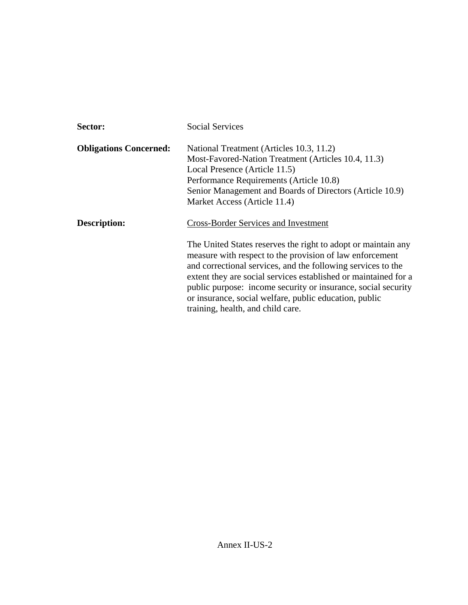| Sector:                       | <b>Social Services</b>                                                                                                                                                                                                                                                                                                                                                                                                                                                      |  |  |
|-------------------------------|-----------------------------------------------------------------------------------------------------------------------------------------------------------------------------------------------------------------------------------------------------------------------------------------------------------------------------------------------------------------------------------------------------------------------------------------------------------------------------|--|--|
| <b>Obligations Concerned:</b> | National Treatment (Articles 10.3, 11.2)<br>Most-Favored-Nation Treatment (Articles 10.4, 11.3)<br>Local Presence (Article 11.5)<br>Performance Requirements (Article 10.8)<br>Senior Management and Boards of Directors (Article 10.9)<br>Market Access (Article 11.4)                                                                                                                                                                                                     |  |  |
| <b>Description:</b>           | <b>Cross-Border Services and Investment</b><br>The United States reserves the right to adopt or maintain any<br>measure with respect to the provision of law enforcement<br>and correctional services, and the following services to the<br>extent they are social services established or maintained for a<br>public purpose: income security or insurance, social security<br>or insurance, social welfare, public education, public<br>training, health, and child care. |  |  |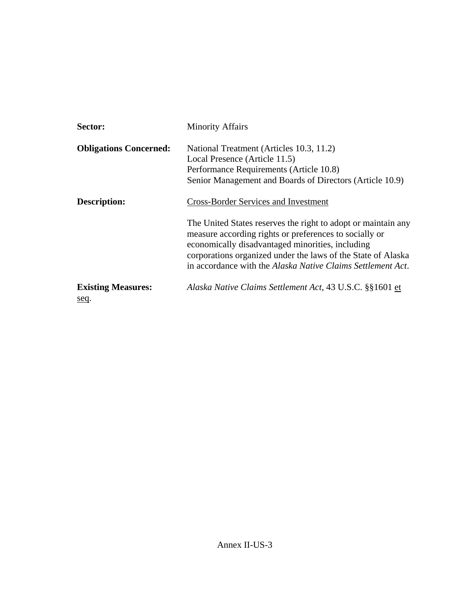| Sector:                           | <b>Minority Affairs</b>                                                                                                                                                                                                                     |  |  |  |
|-----------------------------------|---------------------------------------------------------------------------------------------------------------------------------------------------------------------------------------------------------------------------------------------|--|--|--|
| <b>Obligations Concerned:</b>     | National Treatment (Articles 10.3, 11.2)                                                                                                                                                                                                    |  |  |  |
|                                   | Local Presence (Article 11.5)                                                                                                                                                                                                               |  |  |  |
|                                   | Performance Requirements (Article 10.8)                                                                                                                                                                                                     |  |  |  |
|                                   | Senior Management and Boards of Directors (Article 10.9)                                                                                                                                                                                    |  |  |  |
| <b>Description:</b>               | <b>Cross-Border Services and Investment</b>                                                                                                                                                                                                 |  |  |  |
|                                   | The United States reserves the right to adopt or maintain any<br>measure according rights or preferences to socially or<br>economically disadvantaged minorities, including<br>corporations organized under the laws of the State of Alaska |  |  |  |
|                                   | in accordance with the Alaska Native Claims Settlement Act.                                                                                                                                                                                 |  |  |  |
| <b>Existing Measures:</b><br>seq. | Alaska Native Claims Settlement Act, 43 U.S.C. §§1601 et                                                                                                                                                                                    |  |  |  |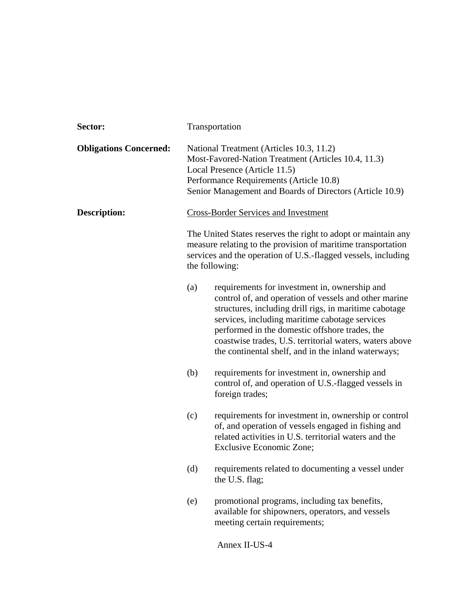| Sector:                       | Transportation                                                                                                                                                                                                                          |                                                                                                                                                                                                                                                                                                                                                                                        |  |  |
|-------------------------------|-----------------------------------------------------------------------------------------------------------------------------------------------------------------------------------------------------------------------------------------|----------------------------------------------------------------------------------------------------------------------------------------------------------------------------------------------------------------------------------------------------------------------------------------------------------------------------------------------------------------------------------------|--|--|
| <b>Obligations Concerned:</b> | National Treatment (Articles 10.3, 11.2)<br>Most-Favored-Nation Treatment (Articles 10.4, 11.3)<br>Local Presence (Article 11.5)<br>Performance Requirements (Article 10.8)<br>Senior Management and Boards of Directors (Article 10.9) |                                                                                                                                                                                                                                                                                                                                                                                        |  |  |
| <b>Description:</b>           | <b>Cross-Border Services and Investment</b>                                                                                                                                                                                             |                                                                                                                                                                                                                                                                                                                                                                                        |  |  |
|                               | The United States reserves the right to adopt or maintain any<br>measure relating to the provision of maritime transportation<br>services and the operation of U.S.-flagged vessels, including<br>the following:                        |                                                                                                                                                                                                                                                                                                                                                                                        |  |  |
|                               | (a)                                                                                                                                                                                                                                     | requirements for investment in, ownership and<br>control of, and operation of vessels and other marine<br>structures, including drill rigs, in maritime cabotage<br>services, including maritime cabotage services<br>performed in the domestic offshore trades, the<br>coastwise trades, U.S. territorial waters, waters above<br>the continental shelf, and in the inland waterways; |  |  |
|                               | (b)                                                                                                                                                                                                                                     | requirements for investment in, ownership and<br>control of, and operation of U.S.-flagged vessels in<br>foreign trades;                                                                                                                                                                                                                                                               |  |  |
|                               | (c)                                                                                                                                                                                                                                     | requirements for investment in, ownership or control<br>of, and operation of vessels engaged in fishing and<br>related activities in U.S. territorial waters and the<br>Exclusive Economic Zone;                                                                                                                                                                                       |  |  |
|                               | (d)                                                                                                                                                                                                                                     | requirements related to documenting a vessel under<br>the U.S. flag;                                                                                                                                                                                                                                                                                                                   |  |  |
|                               | (e)                                                                                                                                                                                                                                     | promotional programs, including tax benefits,<br>available for shipowners, operators, and vessels<br>meeting certain requirements;                                                                                                                                                                                                                                                     |  |  |
|                               |                                                                                                                                                                                                                                         | Annex II-US-4                                                                                                                                                                                                                                                                                                                                                                          |  |  |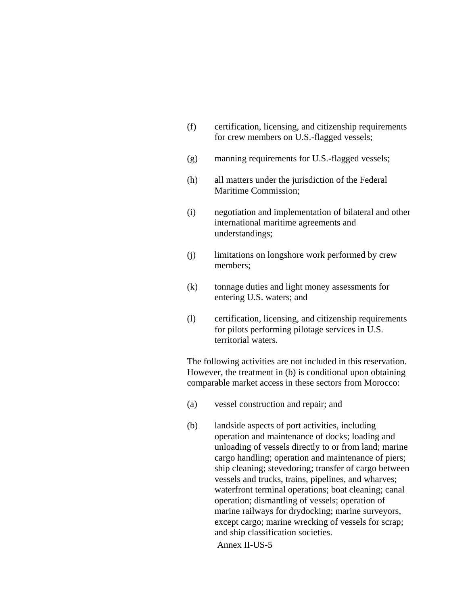| (f) | certification, licensing, and citizenship requirements |
|-----|--------------------------------------------------------|
|     | for crew members on U.S.-flagged vessels;              |

- (g) manning requirements for U.S.-flagged vessels;
- (h) all matters under the jurisdiction of the Federal Maritime Commission;
- (i) negotiation and implementation of bilateral and other international maritime agreements and understandings;
- (j) limitations on longshore work performed by crew members;
- (k) tonnage duties and light money assessments for entering U.S. waters; and
- (l) certification, licensing, and citizenship requirements for pilots performing pilotage services in U.S. territorial waters.

The following activities are not included in this reservation. However, the treatment in (b) is conditional upon obtaining comparable market access in these sectors from Morocco:

- (a) vessel construction and repair; and
- Annex II-US-5 (b) landside aspects of port activities, including operation and maintenance of docks; loading and unloading of vessels directly to or from land; marine cargo handling; operation and maintenance of piers; ship cleaning; stevedoring; transfer of cargo between vessels and trucks, trains, pipelines, and wharves; waterfront terminal operations; boat cleaning; canal operation; dismantling of vessels; operation of marine railways for drydocking; marine surveyors, except cargo; marine wrecking of vessels for scrap; and ship classification societies.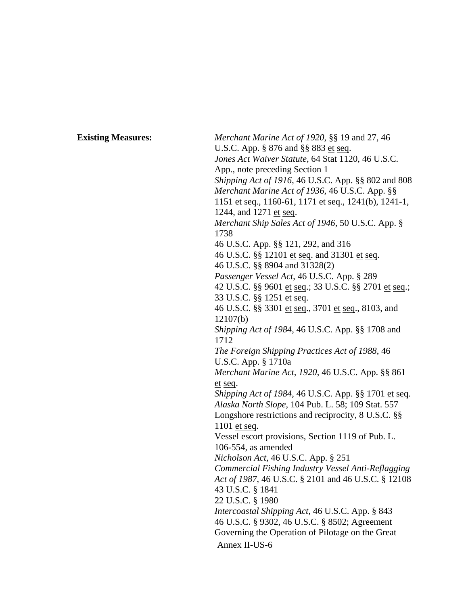Annex II-US-6 **Existing Measures:** *Merchant Marine Act of 1920*, §§ 19 and 27, 46 U.S.C. App. § 876 and §§ 883 et seq. *Jones Act Waiver Statute*, 64 Stat 1120, 46 U.S.C. App., note preceding Section 1 *Shipping Act of 1916*, 46 U.S.C. App. §§ 802 and 808 *Merchant Marine Act of 1936*, 46 U.S.C. App. §§ 1151 et seq., 1160-61, 1171 et seq., 1241(b), 1241-1, 1244, and 1271 et seq. *Merchant Ship Sales Act of 1946*, 50 U.S.C. App. § 1738 46 U.S.C. App. §§ 121, 292, and 316 46 U.S.C. §§ 12101 et seq. and 31301 et seq. 46 U.S.C. §§ 8904 and 31328(2) *Passenger Vessel Act*, 46 U.S.C. App. § 289 42 U.S.C. §§ 9601 et seq.; 33 U.S.C. §§ 2701 et seq.; 33 U.S.C. §§ 1251 et seq. 46 U.S.C. §§ 3301 et seq., 3701 et seq., 8103, and 12107(b) *Shipping Act of 1984*, 46 U.S.C. App. §§ 1708 and 1712 *The Foreign Shipping Practices Act of 1988*, 46 U.S.C. App. § 1710a *Merchant Marine Act, 1920*, 46 U.S.C. App. §§ 861 et seq. *Shipping Act of 1984*, 46 U.S.C. App. §§ 1701 et seq. *Alaska North Slope*, 104 Pub. L. 58; 109 Stat. 557 Longshore restrictions and reciprocity, 8 U.S.C. §§ 1101 et seq. Vessel escort provisions, Section 1119 of Pub. L. 106-554, as amended *Nicholson Act*, 46 U.S.C. App. § 251 *Commercial Fishing Industry Vessel Anti-Reflagging Act of 1987*, 46 U.S.C. § 2101 and 46 U.S.C. § 12108 43 U.S.C. § 1841 22 U.S.C. § 1980 *Intercoastal Shipping Act*, 46 U.S.C. App. § 843 46 U.S.C. § 9302, 46 U.S.C. § 8502; Agreement Governing the Operation of Pilotage on the Great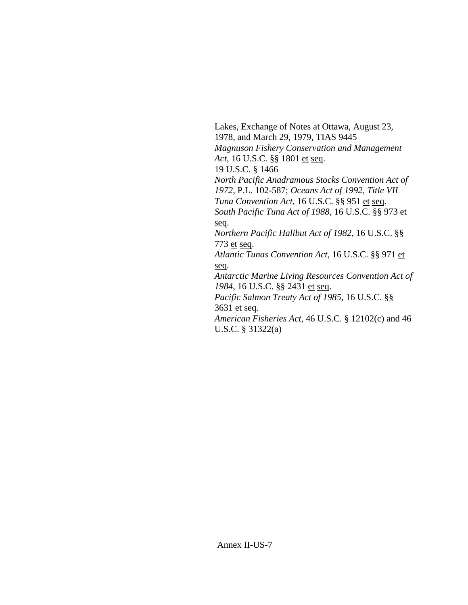Lakes, Exchange of Notes at Ottawa, August 23, 1978, and March 29, 1979, TIAS 9445 *Magnuson Fishery Conservation and Management Act*, 16 U.S.C. §§ 1801 et seq. 19 U.S.C. § 1466 *North Pacific Anadramous Stocks Convention Act of 1972*, P.L. 102-587; *Oceans Act of 1992, Title VII Tuna Convention Act*, 16 U.S.C. §§ 951 et seq. *South Pacific Tuna Act of 1988*, 16 U.S.C. §§ 973 et seq. *Northern Pacific Halibut Act of 1982*, 16 U.S.C. §§ 773 et seq. *Atlantic Tunas Convention Act*, 16 U.S.C. §§ 971 et seq. *Antarctic Marine Living Resources Convention Act of 1984*, 16 U.S.C. §§ 2431 et seq. *Pacific Salmon Treaty Act of 1985*, 16 U.S.C. §§ 3631 et seq. *American Fisheries Act*, 46 U.S.C. § 12102(c) and 46 U.S.C. § 31322(a)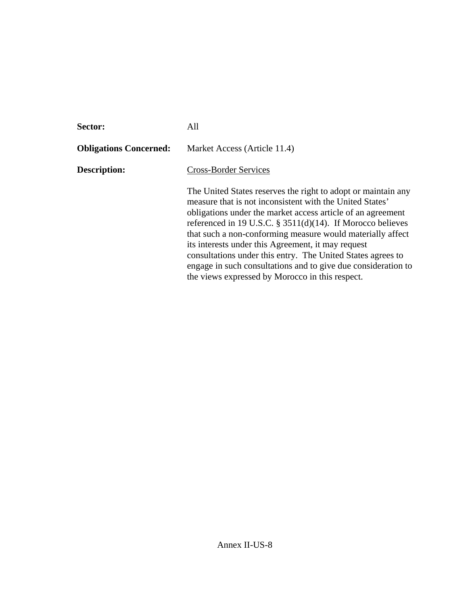| <b>Sector:</b>                | All                                                                                                                                                                                                                                                                                                                                                                                                                                                                                                                                                           |  |  |
|-------------------------------|---------------------------------------------------------------------------------------------------------------------------------------------------------------------------------------------------------------------------------------------------------------------------------------------------------------------------------------------------------------------------------------------------------------------------------------------------------------------------------------------------------------------------------------------------------------|--|--|
| <b>Obligations Concerned:</b> | Market Access (Article 11.4)                                                                                                                                                                                                                                                                                                                                                                                                                                                                                                                                  |  |  |
| <b>Description:</b>           | <b>Cross-Border Services</b>                                                                                                                                                                                                                                                                                                                                                                                                                                                                                                                                  |  |  |
|                               | The United States reserves the right to adopt or maintain any<br>measure that is not inconsistent with the United States'<br>obligations under the market access article of an agreement<br>referenced in 19 U.S.C. § 3511(d)(14). If Morocco believes<br>that such a non-conforming measure would materially affect<br>its interests under this Agreement, it may request<br>consultations under this entry. The United States agrees to<br>engage in such consultations and to give due consideration to<br>the views expressed by Morocco in this respect. |  |  |